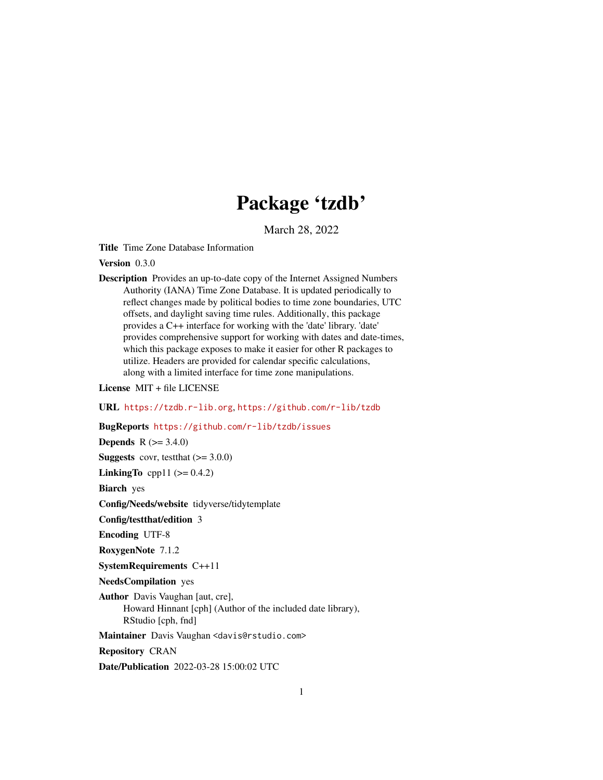# Package 'tzdb'

March 28, 2022

Title Time Zone Database Information

Version 0.3.0

Description Provides an up-to-date copy of the Internet Assigned Numbers Authority (IANA) Time Zone Database. It is updated periodically to reflect changes made by political bodies to time zone boundaries, UTC offsets, and daylight saving time rules. Additionally, this package provides a C++ interface for working with the 'date' library. 'date' provides comprehensive support for working with dates and date-times, which this package exposes to make it easier for other R packages to utilize. Headers are provided for calendar specific calculations, along with a limited interface for time zone manipulations.

License MIT + file LICENSE

URL <https://tzdb.r-lib.org>, <https://github.com/r-lib/tzdb>

BugReports <https://github.com/r-lib/tzdb/issues>

**Depends**  $R (= 3.4.0)$ **Suggests** covr, test that  $(>= 3.0.0)$ **LinkingTo** cpp11 ( $>= 0.4.2$ )

Biarch yes

Config/Needs/website tidyverse/tidytemplate

Config/testthat/edition 3

Encoding UTF-8

RoxygenNote 7.1.2

SystemRequirements C++11

NeedsCompilation yes

Author Davis Vaughan [aut, cre], Howard Hinnant [cph] (Author of the included date library), RStudio [cph, fnd]

Maintainer Davis Vaughan <davis@rstudio.com>

Repository CRAN

Date/Publication 2022-03-28 15:00:02 UTC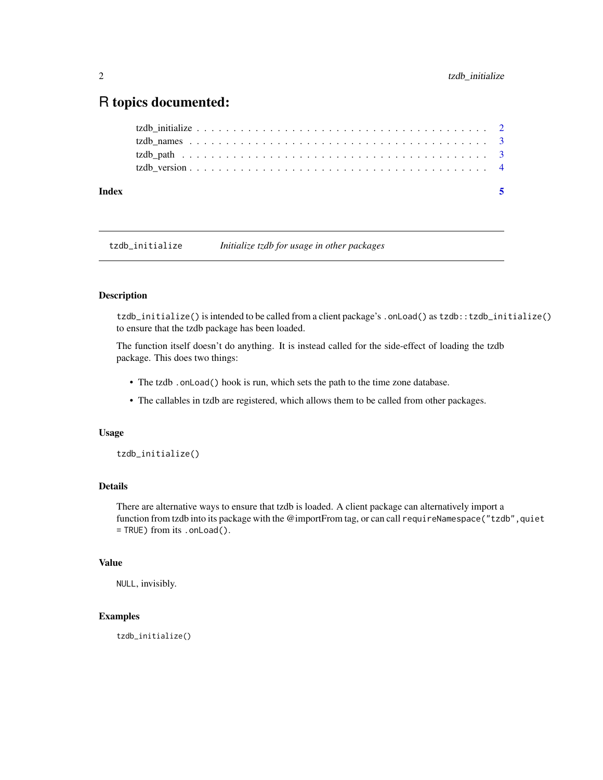## <span id="page-1-0"></span>R topics documented:

| Index | -5 |  |
|-------|----|--|
|       |    |  |
|       |    |  |
|       |    |  |
|       |    |  |

tzdb\_initialize *Initialize tzdb for usage in other packages*

#### Description

tzdb\_initialize() is intended to be called from a client package's .onLoad() as tzdb::tzdb\_initialize() to ensure that the tzdb package has been loaded.

The function itself doesn't do anything. It is instead called for the side-effect of loading the tzdb package. This does two things:

- The tzdb .onLoad() hook is run, which sets the path to the time zone database.
- The callables in tzdb are registered, which allows them to be called from other packages.

#### Usage

tzdb\_initialize()

#### Details

There are alternative ways to ensure that tzdb is loaded. A client package can alternatively import a function from tzdb into its package with the @importFrom tag, or can call requireNamespace("tzdb",quiet = TRUE) from its .onLoad().

#### Value

NULL, invisibly.

#### Examples

tzdb\_initialize()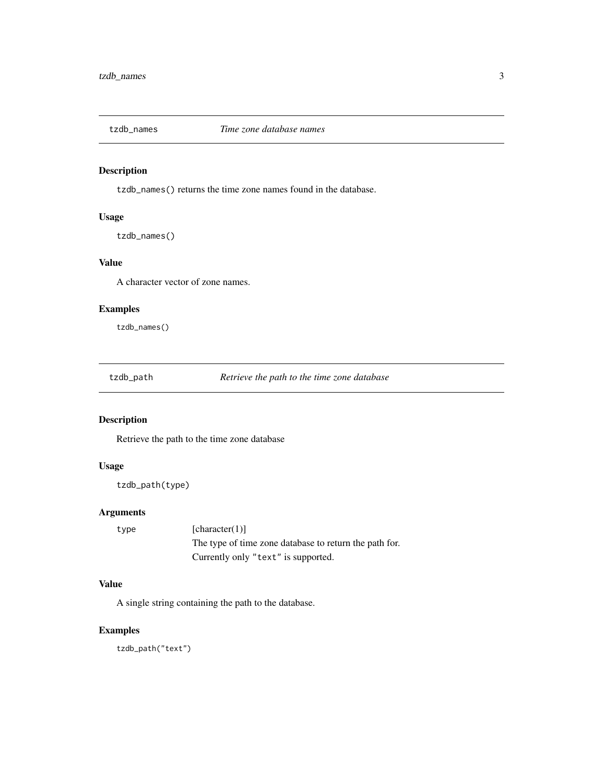<span id="page-2-0"></span>

#### Description

tzdb\_names() returns the time zone names found in the database.

#### Usage

tzdb\_names()

#### Value

A character vector of zone names.

#### Examples

tzdb\_names()

tzdb\_path *Retrieve the path to the time zone database*

#### Description

Retrieve the path to the time zone database

#### Usage

```
tzdb_path(type)
```
#### Arguments

type [character(1)] The type of time zone database to return the path for. Currently only "text" is supported.

#### Value

A single string containing the path to the database.

#### Examples

tzdb\_path("text")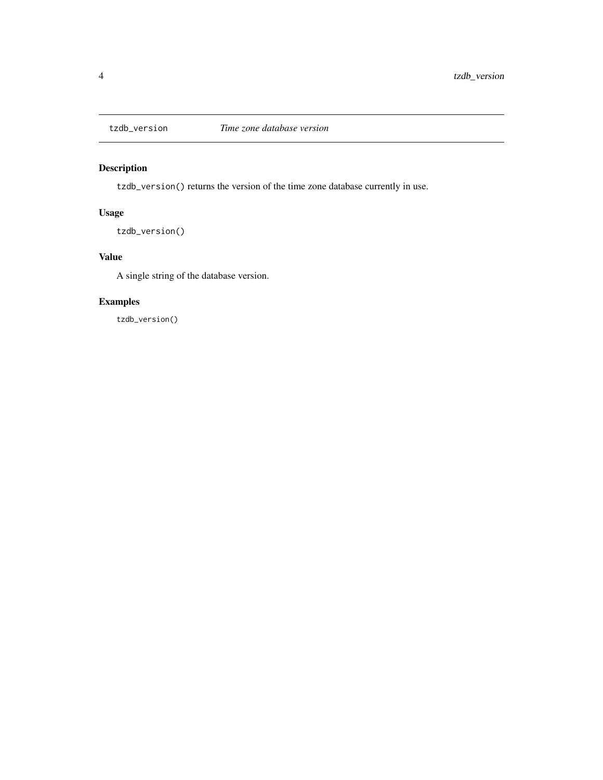<span id="page-3-0"></span>

### Description

tzdb\_version() returns the version of the time zone database currently in use.

#### Usage

tzdb\_version()

#### Value

A single string of the database version.

#### Examples

tzdb\_version()